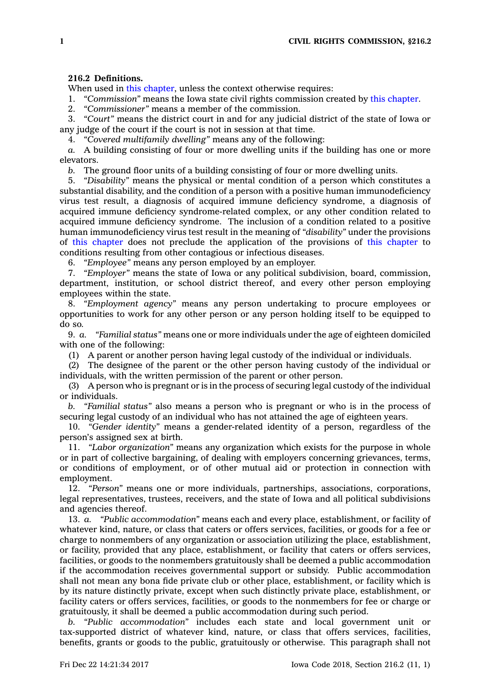## **216.2 Definitions.**

When used in this [chapter](https://www.legis.iowa.gov/docs/code//216.pdf), unless the context otherwise requires:

1. *"Commission"* means the Iowa state civil rights commission created by this [chapter](https://www.legis.iowa.gov/docs/code//216.pdf).<br>2. *"Commissioner"* means a member of the commission.

2. *"Commissioner"* means <sup>a</sup> member of the commission.

3. *"Court"* means the district court in and for any judicial district of the state of Iowa or any judge of the court if the court is not in session at that time.

4. *"Covered multifamily dwelling"* means any of the following:

*a.* A building consisting of four or more dwelling units if the building has one or more elevators.

*b.* The ground floor units of <sup>a</sup> building consisting of four or more dwelling units.

5. *"Disability"* means the physical or mental condition of <sup>a</sup> person which constitutes <sup>a</sup> substantial disability, and the condition of <sup>a</sup> person with <sup>a</sup> positive human immunodeficiency virus test result, <sup>a</sup> diagnosis of acquired immune deficiency syndrome, <sup>a</sup> diagnosis of acquired immune deficiency syndrome-related complex, or any other condition related to acquired immune deficiency syndrome. The inclusion of <sup>a</sup> condition related to <sup>a</sup> positive human immunodeficiency virus test result in the meaning of *"disability"* under the provisions of this [chapter](https://www.legis.iowa.gov/docs/code//216.pdf) does not preclude the application of the provisions of this [chapter](https://www.legis.iowa.gov/docs/code//216.pdf) to conditions resulting from other contagious or infectious diseases.

6. *"Employee"* means any person employed by an employer.

7. *"Employer"* means the state of Iowa or any political subdivision, board, commission, department, institution, or school district thereof, and every other person employing employees within the state.

8. *"Employment agency"* means any person undertaking to procure employees or opportunities to work for any other person or any person holding itself to be equipped to do so.

9. *a. "Familial status"* means one or more individuals under the age of eighteen domiciled with one of the following:

(1) A parent or another person having legal custody of the individual or individuals.

(2) The designee of the parent or the other person having custody of the individual or individuals, with the written permission of the parent or other person.

(3) A person who is pregnant or is in the process of securing legal custody of the individual or individuals.

*b. "Familial status"* also means <sup>a</sup> person who is pregnant or who is in the process of securing legal custody of an individual who has not attained the age of eighteen years.

10. *"Gender identity"* means <sup>a</sup> gender-related identity of <sup>a</sup> person, regardless of the person's assigned sex at birth.

11. *"Labor organization"* means any organization which exists for the purpose in whole or in part of collective bargaining, of dealing with employers concerning grievances, terms, or conditions of employment, or of other mutual aid or protection in connection with employment.

12. *"Person"* means one or more individuals, partnerships, associations, corporations, legal representatives, trustees, receivers, and the state of Iowa and all political subdivisions and agencies thereof.

13. *a. "Public accommodation"* means each and every place, establishment, or facility of whatever kind, nature, or class that caters or offers services, facilities, or goods for <sup>a</sup> fee or charge to nonmembers of any organization or association utilizing the place, establishment, or facility, provided that any place, establishment, or facility that caters or offers services, facilities, or goods to the nonmembers gratuitously shall be deemed <sup>a</sup> public accommodation if the accommodation receives governmental support or subsidy. Public accommodation shall not mean any bona fide private club or other place, establishment, or facility which is by its nature distinctly private, except when such distinctly private place, establishment, or facility caters or offers services, facilities, or goods to the nonmembers for fee or charge or gratuitously, it shall be deemed <sup>a</sup> public accommodation during such period.

*b. "Public accommodation"* includes each state and local government unit or tax-supported district of whatever kind, nature, or class that offers services, facilities, benefits, grants or goods to the public, gratuitously or otherwise. This paragraph shall not